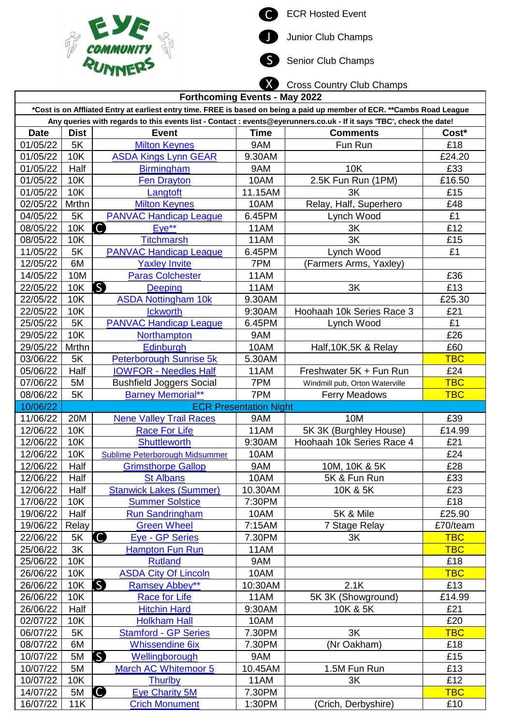



S Senior Club Champs



| <b>Forthcoming Events - May 2022</b>                                                                                    |             |                                     |                               |                                |            |  |
|-------------------------------------------------------------------------------------------------------------------------|-------------|-------------------------------------|-------------------------------|--------------------------------|------------|--|
| *Cost is on Affliated Entry at earliest entry time. FREE is based on being a paid up member of ECR. **Cambs Road League |             |                                     |                               |                                |            |  |
| Any queries with regards to this events list - Contact : events@eyerunners.co.uk - If it says 'TBC', check the date!    |             |                                     |                               |                                |            |  |
| <b>Date</b>                                                                                                             | <b>Dist</b> | <b>Event</b>                        | <b>Time</b>                   | <b>Comments</b>                | Cost*      |  |
| 01/05/22                                                                                                                | 5K          | <b>Milton Keynes</b>                | 9AM                           | Fun Run                        | £18        |  |
| 01/05/22                                                                                                                | 10K         | <b>ASDA Kings Lynn GEAR</b>         | 9.30AM                        |                                | £24.20     |  |
| 01/05/22                                                                                                                | Half        | <b>Birmingham</b>                   | 9AM                           | 10K                            | £33        |  |
| 01/05/22                                                                                                                | 10K         | <b>Fen Drayton</b>                  | 10AM                          | 2.5K Fun Run (1PM)             | £16.50     |  |
| 01/05/22                                                                                                                | 10K         | Langtoft                            | 11.15AM                       | 3K                             | £15        |  |
| 02/05/22                                                                                                                | Mrthn       | <b>Milton Keynes</b>                | 10AM                          | Relay, Half, Superhero         | £48        |  |
| 04/05/22                                                                                                                | 5K          | <b>PANVAC Handicap League</b>       | 6.45PM                        | Lynch Wood                     | £1         |  |
| 08/05/22                                                                                                                | 10K         | O<br>$Eve**$                        | 11AM                          | 3K                             | £12        |  |
| 08/05/22                                                                                                                | <b>10K</b>  | <b>Titchmarsh</b>                   | 11AM                          | 3K                             | £15        |  |
| 11/05/22                                                                                                                | 5K          | <b>PANVAC Handicap League</b>       | 6.45PM                        | Lynch Wood                     | £1         |  |
| 12/05/22                                                                                                                | 6M          | <b>Yaxley Invite</b>                | 7PM                           | (Farmers Arms, Yaxley)         |            |  |
| 14/05/22                                                                                                                | 10M         | <b>Paras Colchester</b>             | 11AM                          |                                | £36        |  |
| 22/05/22                                                                                                                | 10K         | S<br><b>Deeping</b>                 | 11AM                          | 3K                             | £13        |  |
| 22/05/22                                                                                                                | 10K         | <b>ASDA Nottingham 10k</b>          | 9.30AM                        |                                | £25.30     |  |
| 22/05/22                                                                                                                | 10K         | <b>Ickworth</b>                     | 9:30AM                        | Hoohaah 10k Series Race 3      | £21        |  |
| 25/05/22                                                                                                                | 5K          | <b>PANVAC Handicap League</b>       | 6.45PM                        | Lynch Wood                     | £1         |  |
| 29/05/22                                                                                                                | <b>10K</b>  | Northampton                         | 9AM                           |                                | £26        |  |
| 29/05/22                                                                                                                | Mrthn       | Edinburgh                           | 10AM                          | Half, 10K, 5K & Relay          | £60        |  |
| 03/06/22                                                                                                                | 5K          | <b>Peterborough Sunrise 5k</b>      | 5.30AM                        |                                | <b>TBC</b> |  |
| 05/06/22                                                                                                                | Half        | <b>IOWFOR - Needles Half</b>        | 11AM                          | Freshwater 5K + Fun Run        | £24        |  |
| 07/06/22                                                                                                                | 5M          | <b>Bushfield Joggers Social</b>     | 7PM                           | Windmill pub, Orton Waterville | <b>TBC</b> |  |
| 08/06/22                                                                                                                | 5K          | <b>Barney Memorial**</b>            | 7PM                           | <b>Ferry Meadows</b>           | <b>TBC</b> |  |
| 10/06/22                                                                                                                |             |                                     | <b>ECR Presentation Night</b> |                                |            |  |
| 11/06/22                                                                                                                | 20M         | <b>Nene Valley Trail Races</b>      | 9AM                           | 10M                            | £39        |  |
| 12/06/22                                                                                                                | 10K         | <b>Race For Life</b>                | 11AM                          | 5K 3K (Burghley House)         | £14.99     |  |
| 12/06/22                                                                                                                | 10K         | <b>Shuttleworth</b>                 | 9:30AM                        | Hoohaah 10k Series Race 4      | £21        |  |
| 12/06/22                                                                                                                | <b>10K</b>  | Sublime Peterborough Midsummer      | 10AM                          |                                | £24        |  |
| 12/06/22                                                                                                                | Half        | <b>Grimsthorpe Gallop</b>           | 9AM                           | 10M, 10K & 5K                  | £28        |  |
| 12/06/22                                                                                                                | Half        | <b>St Albans</b>                    | 10AM                          | 5K & Fun Run                   | £33        |  |
| 12/06/22                                                                                                                | Half        | <b>Stanwick Lakes (Summer)</b>      | 10.30AM                       | 10K & 5K                       | £23        |  |
| 17/06/22                                                                                                                | 10K         | <b>Summer Solstice</b>              | 7:30PM                        |                                | £18        |  |
| 19/06/22                                                                                                                | Half        | <b>Run Sandringham</b>              | 10AM                          | 5K & Mile                      | £25.90     |  |
| 19/06/22                                                                                                                | Relay       | <b>Green Wheel</b>                  | 7:15AM                        | 7 Stage Relay                  | £70/team   |  |
| 22/06/22                                                                                                                | 5K          | $\bullet$<br><b>Eye - GP Series</b> | 7.30PM                        | 3K                             | <b>TBC</b> |  |
| 25/06/22                                                                                                                | 3K          | <b>Hampton Fun Run</b>              | 11AM                          |                                | <b>TBC</b> |  |
| 25/06/22                                                                                                                | 10K         | <b>Rutland</b>                      | 9AM                           |                                | £18        |  |
| 26/06/22                                                                                                                | 10K         | <b>ASDA City Of Lincoln</b>         | 10AM                          |                                | <b>TBC</b> |  |
| 26/06/22                                                                                                                | 10K         | S<br><b>Ramsey Abbey**</b>          | 10:30AM                       | 2.1K                           | £13        |  |
| 26/06/22                                                                                                                | <b>10K</b>  | <b>Race for Life</b>                | 11AM                          | 5K 3K (Showground)             | £14.99     |  |
| 26/06/22                                                                                                                | Half        | <b>Hitchin Hard</b>                 | 9:30AM                        | 10K & 5K                       | £21        |  |
| 02/07/22                                                                                                                | 10K         | <b>Holkham Hall</b>                 | 10AM                          |                                | £20        |  |
| 06/07/22                                                                                                                | 5K          | <b>Stamford - GP Series</b>         | 7.30PM                        | 3K                             | <b>TBC</b> |  |
| 08/07/22                                                                                                                | 6M          | <b>Whissendine 6ix</b>              | 7.30PM                        | (Nr Oakham)                    | £18        |  |
| 10/07/22                                                                                                                | 5M          | S<br>Wellingborough                 | 9AM                           |                                | £15        |  |
| 10/07/22                                                                                                                | 5M          | <b>March AC Whitemoor 5</b>         | 10.45AM                       | 1.5M Fun Run                   | £13        |  |
| 10/07/22                                                                                                                | 10K         | <b>Thurlby</b>                      | 11AM                          | 3K                             | £12        |  |
| 14/07/22                                                                                                                | 5M          | $\bullet$<br><b>Eye Charity 5M</b>  | 7.30PM                        |                                | <b>TBC</b> |  |
|                                                                                                                         |             |                                     |                               |                                |            |  |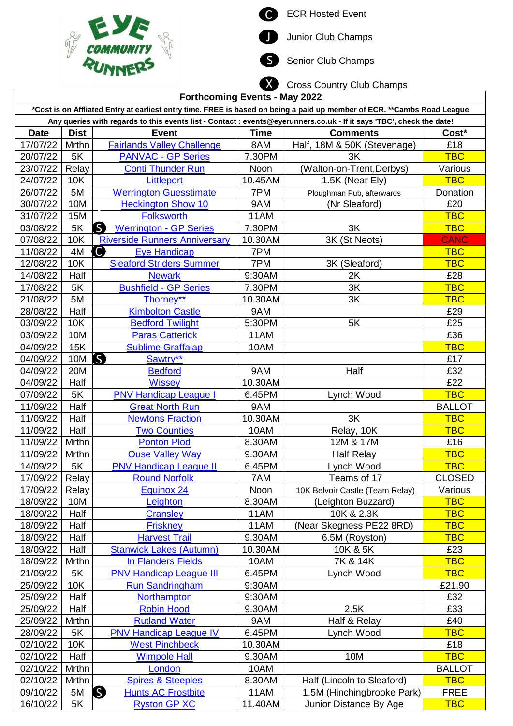



Junior Club Champs

S Senior Club Champs



| <b>Forthcoming Events - May 2022</b>                                                                                    |             |                                               |             |                                 |               |  |
|-------------------------------------------------------------------------------------------------------------------------|-------------|-----------------------------------------------|-------------|---------------------------------|---------------|--|
| *Cost is on Affliated Entry at earliest entry time. FREE is based on being a paid up member of ECR. **Cambs Road League |             |                                               |             |                                 |               |  |
| Any queries with regards to this events list - Contact : events@eyerunners.co.uk - If it says 'TBC', check the date!    |             |                                               |             |                                 |               |  |
| <b>Date</b>                                                                                                             | <b>Dist</b> | <b>Event</b>                                  | <b>Time</b> | <b>Comments</b>                 | Cost*         |  |
| 17/07/22                                                                                                                | Mrthn       | <b>Fairlands Valley Challenge</b>             | 8AM         | Half, 18M & 50K (Stevenage)     | £18           |  |
| 20/07/22                                                                                                                | 5K          | <b>PANVAC - GP Series</b>                     | 7.30PM      | 3K                              | <b>TBC</b>    |  |
| 23/07/22                                                                                                                | Relay       | <b>Conti Thunder Run</b>                      | Noon        | (Walton-on-Trent, Derbys)       | Various       |  |
| 24/07/22                                                                                                                | 10K         | Littleport                                    | 10.45AM     | 1.5K (Near Ely)                 | <b>TBC</b>    |  |
| 26/07/22                                                                                                                | 5M          | <b>Werrington Guesstimate</b>                 | 7PM         | Ploughman Pub, afterwards       | Donation      |  |
| 30/07/22                                                                                                                | 10M         | <b>Heckington Show 10</b>                     | 9AM         | (Nr Sleaford)                   | £20           |  |
| 31/07/22                                                                                                                | 15M         | <b>Folksworth</b>                             | 11AM        |                                 | <b>TBC</b>    |  |
| 03/08/22                                                                                                                | 5K          | $\mathsf{S}$<br><b>Werrington - GP Series</b> | 7.30PM      | 3K                              | <b>TBC</b>    |  |
| 07/08/22                                                                                                                | 10K         | <b>Riverside Runners Anniversary</b>          | 10.30AM     | 3K (St Neots)                   | <b>CANC</b>   |  |
| 11/08/22                                                                                                                | 4M          | O<br><b>Eye Handicap</b>                      | 7PM         |                                 | <b>TBC</b>    |  |
| 12/08/22                                                                                                                | 10K         | <b>Sleaford Striders Summer</b>               | 7PM         | 3K (Sleaford)                   | <b>TBC</b>    |  |
| 14/08/22                                                                                                                | Half        | <b>Newark</b>                                 | 9:30AM      | 2K                              | £28           |  |
| 17/08/22                                                                                                                | 5K          | <b>Bushfield - GP Series</b>                  | 7.30PM      | 3K                              | <b>TBC</b>    |  |
| 21/08/22                                                                                                                | 5M          | Thorney**                                     | 10.30AM     | 3K                              | <b>TBC</b>    |  |
| 28/08/22                                                                                                                | Half        | <b>Kimbolton Castle</b>                       | 9AM         |                                 | £29           |  |
| 03/09/22                                                                                                                | 10K         | <b>Bedford Twilight</b>                       | 5:30PM      | 5K                              | £25           |  |
| 03/09/22                                                                                                                | 10M         | <b>Paras Catterick</b>                        | 11AM        |                                 | £36           |  |
| 04/09/22                                                                                                                | 45K         | <b>Sublime Graffalap</b>                      | 10AM        |                                 | <b>TBC</b>    |  |
| 04/09/22                                                                                                                | 10M         | S<br>Sawtry**                                 |             |                                 | £17           |  |
| 04/09/22                                                                                                                | 20M         | <b>Bedford</b>                                | 9AM         | Half                            | £32           |  |
| 04/09/22                                                                                                                | Half        | <b>Wissey</b>                                 | 10.30AM     |                                 | £22           |  |
| 07/09/22                                                                                                                | 5K          | <b>PNV Handicap League I</b>                  | 6.45PM      | Lynch Wood                      | <b>TBC</b>    |  |
| 11/09/22                                                                                                                | Half        | <b>Great North Run</b>                        | 9AM         |                                 | <b>BALLOT</b> |  |
| 11/09/22                                                                                                                | Half        | <b>Newtons Fraction</b>                       | 10.30AM     | 3K                              | <b>TBC</b>    |  |
| 11/09/22                                                                                                                | Half        | <b>Two Counties</b>                           | 10AM        | Relay, 10K                      | <b>TBC</b>    |  |
| 11/09/22                                                                                                                | Mrthn       | <b>Ponton Plod</b>                            | 8.30AM      | 12M & 17M                       | £16           |  |
| 11/09/22                                                                                                                | Mrthn       | <b>Ouse Valley Way</b>                        | 9.30AM      | <b>Half Relay</b>               | <b>TBC</b>    |  |
| 14/09/22                                                                                                                | 5K          | <b>PNV Handicap League II</b>                 | 6.45PM      | Lynch Wood                      | <b>TBC</b>    |  |
| 17/09/22                                                                                                                | Relay       | <b>Round Norfolk</b>                          | 7AM         | Teams of 17                     | <b>CLOSED</b> |  |
| 17/09/22                                                                                                                | Relay       | Equinox 24                                    | Noon        | 10K Belvoir Castle (Team Relay) | Various       |  |
| 18/09/22                                                                                                                | 10M         | Leighton                                      | 8.30AM      | (Leighton Buzzard)              | <b>TBC</b>    |  |
| 18/09/22                                                                                                                | Half        | <b>Cransley</b>                               | 11AM        | 10K & 2.3K                      | <b>TBC</b>    |  |
| 18/09/22                                                                                                                | Half        | <b>Friskney</b>                               | 11AM        | (Near Skegness PE22 8RD)        | <b>TBC</b>    |  |
| 18/09/22                                                                                                                | Half        | <b>Harvest Trail</b>                          | 9.30AM      | 6.5M (Royston)                  | <b>TBC</b>    |  |
| 18/09/22                                                                                                                | Half        | <b>Stanwick Lakes (Autumn)</b>                | 10.30AM     | 10K & 5K                        | £23           |  |
| 18/09/22                                                                                                                | Mrthn       | In Flanders Fields                            | 10AM        | 7K & 14K                        | <b>TBC</b>    |  |
| 21/09/22                                                                                                                | 5K          | <b>PNV Handicap League III</b>                | 6.45PM      | Lynch Wood                      | <b>TBC</b>    |  |
| 25/09/22                                                                                                                | 10K         | <b>Run Sandringham</b>                        | 9:30AM      |                                 | £21.90        |  |
| 25/09/22                                                                                                                | Half        | Northampton                                   | 9:30AM      |                                 | £32           |  |
| 25/09/22                                                                                                                | Half        | <b>Robin Hood</b>                             | 9.30AM      | 2.5K                            | £33           |  |
| 25/09/22                                                                                                                | Mrthn       | <b>Rutland Water</b>                          | 9AM         | Half & Relay                    | £40           |  |
| 28/09/22                                                                                                                | 5K          | <b>PNV Handicap League IV</b>                 | 6.45PM      | Lynch Wood                      | <b>TBC</b>    |  |
| 02/10/22                                                                                                                | 10K         | <b>West Pinchbeck</b>                         | 10.30AM     |                                 | £18           |  |
| 02/10/22                                                                                                                | Half        | <b>Wimpole Hall</b>                           | 9.30AM      | 10M                             | <b>TBC</b>    |  |
| 02/10/22                                                                                                                | Mrthn       | London                                        | 10AM        |                                 | <b>BALLOT</b> |  |
| 02/10/22                                                                                                                | Mrthn       | <b>Spires &amp; Steeples</b>                  | 8.30AM      | Half (Lincoln to Sleaford)      | <b>TBC</b>    |  |
| 09/10/22                                                                                                                | 5M          | S<br><b>Hunts AC Frostbite</b>                | 11AM        | 1.5M (Hinchingbrooke Park)      | <b>FREE</b>   |  |
| 16/10/22                                                                                                                | 5K          | <b>Ryston GP XC</b>                           | 11.40AM     | Junior Distance By Age          | <b>TBC</b>    |  |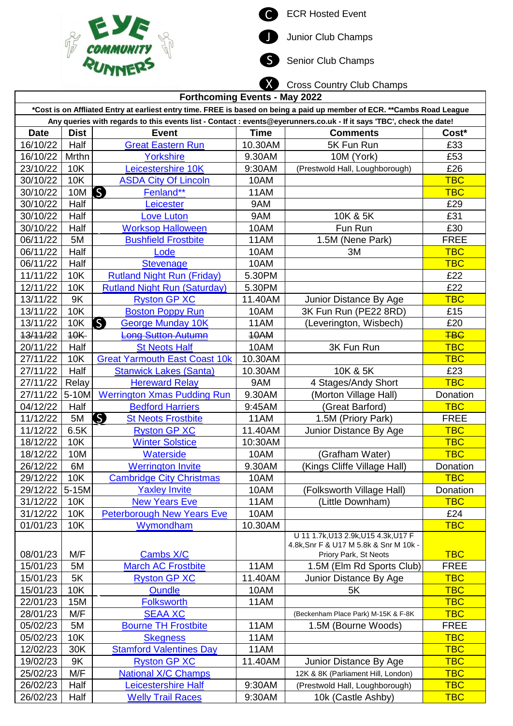



Junior Club Champs

S Senior Club Champs

Cross Country Club Champs X

| <b>Forthcoming Events - May 2022</b>                                                                                    |             |                                                                                                                      |             |                                                                                |             |  |
|-------------------------------------------------------------------------------------------------------------------------|-------------|----------------------------------------------------------------------------------------------------------------------|-------------|--------------------------------------------------------------------------------|-------------|--|
| *Cost is on Affliated Entry at earliest entry time. FREE is based on being a paid up member of ECR. **Cambs Road League |             |                                                                                                                      |             |                                                                                |             |  |
|                                                                                                                         |             | Any queries with regards to this events list - Contact : events@eyerunners.co.uk - If it says 'TBC', check the date! |             |                                                                                |             |  |
| <b>Date</b>                                                                                                             | <b>Dist</b> | <b>Event</b>                                                                                                         | <b>Time</b> | <b>Comments</b>                                                                | $Cost*$     |  |
| 16/10/22                                                                                                                | Half        | <b>Great Eastern Run</b>                                                                                             | 10.30AM     | 5K Fun Run                                                                     | £33         |  |
| 16/10/22                                                                                                                | Mrthn       | <b>Yorkshire</b>                                                                                                     | 9.30AM      | 10M (York)                                                                     | £53         |  |
| 23/10/22                                                                                                                | <b>10K</b>  | Leicestershire 10K                                                                                                   | 9:30AM      | (Prestwold Hall, Loughborough)                                                 | £26         |  |
| 30/10/22                                                                                                                | 10K         | <b>ASDA City Of Lincoln</b>                                                                                          | 10AM        |                                                                                | <b>TBC</b>  |  |
| 30/10/22                                                                                                                | 10M         | S<br>Fenland**                                                                                                       | 11AM        |                                                                                | <b>TBC</b>  |  |
| 30/10/22                                                                                                                | Half        | Leicester                                                                                                            | 9AM         |                                                                                | £29         |  |
| 30/10/22                                                                                                                | Half        | <b>Love Luton</b>                                                                                                    | 9AM         | 10K & 5K                                                                       | £31         |  |
| 30/10/22                                                                                                                | Half        | <b>Worksop Halloween</b>                                                                                             | 10AM        | Fun Run                                                                        | £30         |  |
| 06/11/22                                                                                                                | 5M          | <b>Bushfield Frostbite</b>                                                                                           | 11AM        | 1.5M (Nene Park)                                                               | <b>FREE</b> |  |
| 06/11/22                                                                                                                | Half        | Lode                                                                                                                 | 10AM        | 3M                                                                             | <b>TBC</b>  |  |
| 06/11/22                                                                                                                | Half        | <b>Stevenage</b>                                                                                                     | 10AM        |                                                                                | <b>TBC</b>  |  |
| 11/11/22                                                                                                                | 10K         | <b>Rutland Night Run (Friday)</b>                                                                                    | 5.30PM      |                                                                                | £22         |  |
| 12/11/22                                                                                                                | <b>10K</b>  | <b>Rutland Night Run (Saturday)</b>                                                                                  | 5.30PM      |                                                                                | £22         |  |
| 13/11/22                                                                                                                | 9K          | <b>Ryston GP XC</b>                                                                                                  | 11.40AM     | Junior Distance By Age                                                         | <b>TBC</b>  |  |
| 13/11/22                                                                                                                | <b>10K</b>  | <b>Boston Poppy Run</b>                                                                                              | 10AM        | 3K Fun Run (PE22 8RD)                                                          | £15         |  |
| 13/11/22                                                                                                                | 10K         | S<br><b>George Munday 10K</b>                                                                                        | 11AM        | (Leverington, Wisbech)                                                         | £20         |  |
| 13/11/22                                                                                                                | 10K         | <b>Long Sutton Autumn</b>                                                                                            | 10AM        |                                                                                | <b>TBG</b>  |  |
| 20/11/22                                                                                                                | Half        | <b>St Neots Half</b>                                                                                                 | 10AM        | 3K Fun Run                                                                     | <b>TBC</b>  |  |
|                                                                                                                         | 10K         |                                                                                                                      | 10.30AM     |                                                                                | <b>TBC</b>  |  |
| 27/11/22<br>27/11/22                                                                                                    | Half        | <b>Great Yarmouth East Coast 10k</b>                                                                                 |             | 10K & 5K                                                                       | £23         |  |
|                                                                                                                         |             | <b>Stanwick Lakes (Santa)</b>                                                                                        | 10.30AM     |                                                                                |             |  |
| 27/11/22                                                                                                                | Relay       | <b>Hereward Relay</b>                                                                                                | 9AM         | 4 Stages/Andy Short                                                            | <b>TBC</b>  |  |
| 27/11/22                                                                                                                | 5-10M       | <b>Werrington Xmas Pudding Run</b>                                                                                   | 9.30AM      | (Morton Village Hall)                                                          | Donation    |  |
| 04/12/22                                                                                                                | Half        | <b>Bedford Harriers</b>                                                                                              | 9:45AM      | (Great Barford)                                                                | <b>TBC</b>  |  |
| 11/12/22                                                                                                                | 5M          | S<br><b>St Neots Frostbite</b>                                                                                       | 11AM        | 1.5M (Priory Park)                                                             | <b>FREE</b> |  |
| 11/12/22                                                                                                                | 6.5K        | <b>Ryston GP XC</b>                                                                                                  | 11.40AM     | Junior Distance By Age                                                         | <b>TBC</b>  |  |
| 18/12/22                                                                                                                | 10K         | <b>Winter Solstice</b>                                                                                               | 10:30AM     |                                                                                | <b>TBC</b>  |  |
| 18/12/22                                                                                                                | 10M         | <b>Waterside</b>                                                                                                     | 10AM        | (Grafham Water)                                                                | <b>TBC</b>  |  |
| 26/12/22                                                                                                                | 6M          | <b>Werrington Invite</b>                                                                                             | 9.30AM      | (Kings Cliffe Village Hall)                                                    | Donation    |  |
| 29/12/22                                                                                                                | 10K         | <b>Cambridge City Christmas</b>                                                                                      | 10AM        |                                                                                | <b>TBC</b>  |  |
| 29/12/22                                                                                                                | $5-15M$     | <b>Yaxley Invite</b>                                                                                                 | 10AM        | (Folksworth Village Hall)                                                      | Donation    |  |
| 31/12/22                                                                                                                | 10K         | <b>New Years Eve</b>                                                                                                 | 11AM        | (Little Downham)                                                               | <b>TBC</b>  |  |
| 31/12/22                                                                                                                | 10K         | <b>Peterborough New Years Eve</b>                                                                                    | 10AM        |                                                                                | £24         |  |
| 01/01/23                                                                                                                | <b>10K</b>  | Wymondham                                                                                                            | 10.30AM     |                                                                                | <b>TBC</b>  |  |
|                                                                                                                         |             |                                                                                                                      |             | U 11 1.7k, U13 2.9k, U15 4.3k, U17 F<br>4.8k, Snr F & U17 M 5.8k & Snr M 10k - |             |  |
| 08/01/23                                                                                                                | M/F         | Cambs X/C                                                                                                            |             | Priory Park, St Neots                                                          | <b>TBC</b>  |  |
| 15/01/23                                                                                                                | 5M          | <b>March AC Frostbite</b>                                                                                            | 11AM        | 1.5M (Elm Rd Sports Club)                                                      | <b>FREE</b> |  |
| 15/01/23                                                                                                                | 5K          | <b>Ryston GP XC</b>                                                                                                  | 11.40AM     | Junior Distance By Age                                                         | <b>TBC</b>  |  |
| 15/01/23                                                                                                                | 10K         | <b>Oundle</b>                                                                                                        | 10AM        | 5K                                                                             | <b>TBC</b>  |  |
| 22/01/23                                                                                                                | 15M         | <b>Folksworth</b>                                                                                                    | 11AM        |                                                                                | <b>TBC</b>  |  |
| 28/01/23                                                                                                                | M/F         | <b>SEAA XC</b>                                                                                                       |             | (Beckenham Place Park) M-15K & F-8K                                            | <b>TBC</b>  |  |
| 05/02/23                                                                                                                | 5M          | <b>Bourne TH Frostbite</b>                                                                                           | 11AM        | 1.5M (Bourne Woods)                                                            | <b>FREE</b> |  |
| 05/02/23                                                                                                                | 10K         | <b>Skegness</b>                                                                                                      | 11AM        |                                                                                | <b>TBC</b>  |  |
| 12/02/23                                                                                                                |             | <b>Stamford Valentines Day</b>                                                                                       | 11AM        |                                                                                | <b>TBC</b>  |  |
|                                                                                                                         | 30K         |                                                                                                                      |             |                                                                                |             |  |
| 19/02/23                                                                                                                | 9K          | <b>Ryston GP XC</b>                                                                                                  | 11.40AM     | Junior Distance By Age                                                         | <b>TBC</b>  |  |
| 25/02/23                                                                                                                | M/F         | <b>National X/C Champs</b>                                                                                           |             | 12K & 8K (Parliament Hill, London)                                             | <b>TBC</b>  |  |
| 26/02/23                                                                                                                | Half        | Leicestershire Half                                                                                                  | 9:30AM      | (Prestwold Hall, Loughborough)                                                 | <b>TBC</b>  |  |
| 26/02/23                                                                                                                | Half        | <b>Welly Trail Races</b>                                                                                             | 9:30AM      | 10k (Castle Ashby)                                                             | <b>TBC</b>  |  |